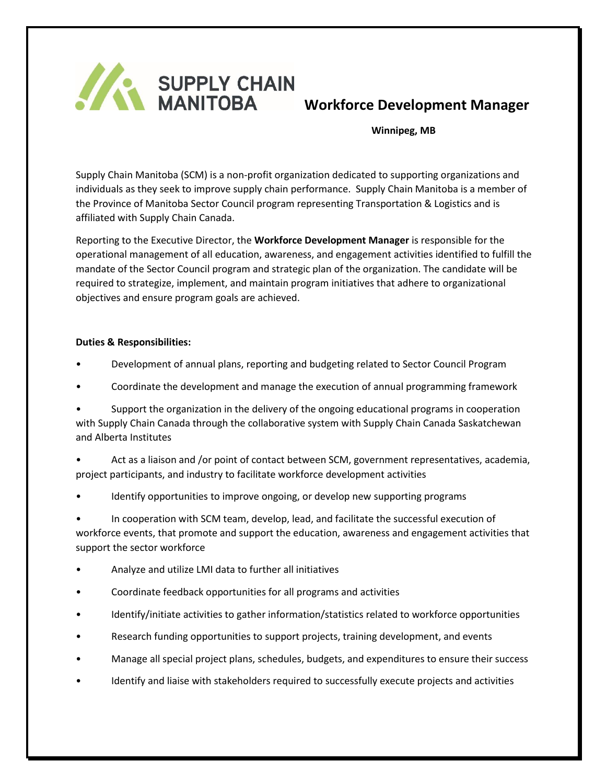

 **Winnipeg, MB**

Supply Chain Manitoba (SCM) is a non-profit organization dedicated to supporting organizations and individuals as they seek to improve supply chain performance. Supply Chain Manitoba is a member of the Province of Manitoba Sector Council program representing Transportation & Logistics and is affiliated with Supply Chain Canada.

Reporting to the Executive Director, the **Workforce Development Manager** is responsible for the operational management of all education, awareness, and engagement activities identified to fulfill the mandate of the Sector Council program and strategic plan of the organization. The candidate will be required to strategize, implement, and maintain program initiatives that adhere to organizational objectives and ensure program goals are achieved.

## **Duties & Responsibilities:**

- Development of annual plans, reporting and budgeting related to Sector Council Program
- Coordinate the development and manage the execution of annual programming framework

• Support the organization in the delivery of the ongoing educational programs in cooperation with Supply Chain Canada through the collaborative system with Supply Chain Canada Saskatchewan and Alberta Institutes

• Act as a liaison and /or point of contact between SCM, government representatives, academia, project participants, and industry to facilitate workforce development activities

Identify opportunities to improve ongoing, or develop new supporting programs

• In cooperation with SCM team, develop, lead, and facilitate the successful execution of workforce events, that promote and support the education, awareness and engagement activities that support the sector workforce

- Analyze and utilize LMI data to further all initiatives
- Coordinate feedback opportunities for all programs and activities
- Identify/initiate activities to gather information/statistics related to workforce opportunities
- Research funding opportunities to support projects, training development, and events
- Manage all special project plans, schedules, budgets, and expenditures to ensure their success
- Identify and liaise with stakeholders required to successfully execute projects and activities